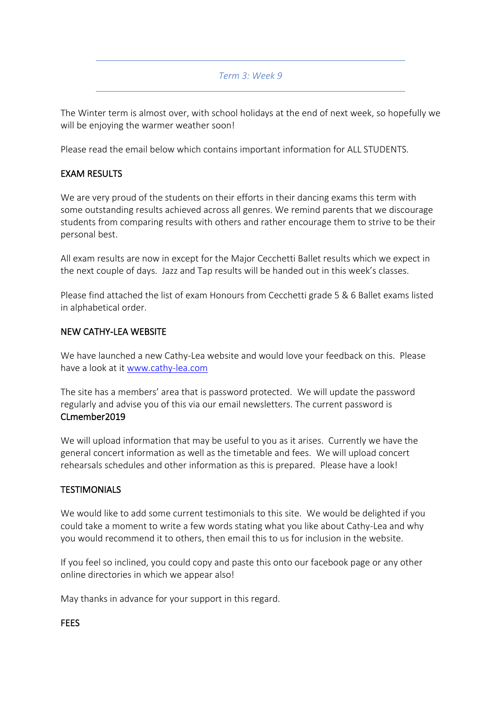### *Term 3: Week 9*

The Winter term is almost over, with school holidays at the end of next week, so hopefully we will be enjoying the warmer weather soon!

Please read the email below which contains important information for ALL STUDENTS.

## EXAM RESULTS

We are very proud of the students on their efforts in their dancing exams this term with some outstanding results achieved across all genres. We remind parents that we discourage students from comparing results with others and rather encourage them to strive to be their personal best.

All exam results are now in except for the Major Cecchetti Ballet results which we expect in the next couple of days. Jazz and Tap results will be handed out in this week's classes.

Please find attached the list of exam Honours from Cecchetti grade 5 & 6 Ballet exams listed in alphabetical order.

## NEW CATHY-LEA WEBSITE

We have launched a new Cathy-Lea website and would love your feedback on this. Please have a look at it [www.cathy-lea.com](http://www.cathy-lea.com/)

The site has a members' area that is password protected. We will update the password regularly and advise you of this via our email newsletters. The current password is CLmember2019

We will upload information that may be useful to you as it arises. Currently we have the general concert information as well as the timetable and fees. We will upload concert rehearsals schedules and other information as this is prepared. Please have a look!

## **TESTIMONIALS**

We would like to add some current testimonials to this site. We would be delighted if you could take a moment to write a few words stating what you like about Cathy-Lea and why you would recommend it to others, then email this to us for inclusion in the website.

If you feel so inclined, you could copy and paste this onto our facebook page or any other online directories in which we appear also!

May thanks in advance for your support in this regard.

#### **FEES**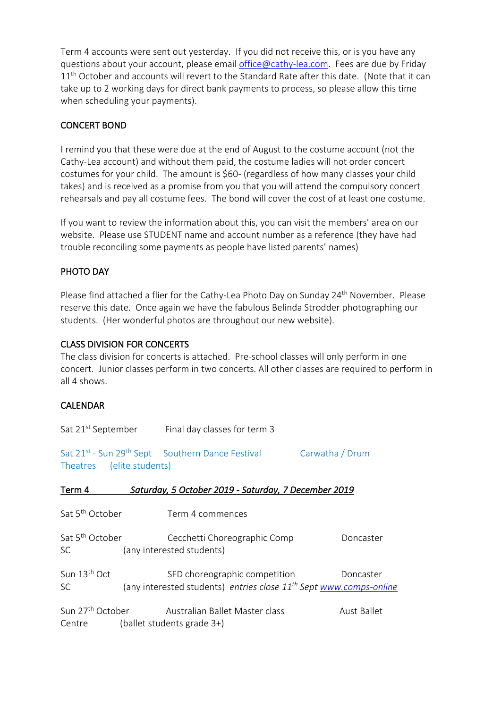Term 4 accounts were sent out yesterday. If you did not receive this, or is you have any questions about your account, please email [office@cathy-lea.com.](mailto:office@cathy-lea.com) Fees are due by Friday 11<sup>th</sup> October and accounts will revert to the Standard Rate after this date. (Note that it can take up to 2 working days for direct bank payments to process, so please allow this time when scheduling your payments).

# CONCERT BOND

I remind you that these were due at the end of August to the costume account (not the Cathy-Lea account) and without them paid, the costume ladies will not order concert costumes for your child. The amount is \$60- (regardless of how many classes your child takes) and is received as a promise from you that you will attend the compulsory concert rehearsals and pay all costume fees. The bond will cover the cost of at least one costume.

If you want to review the information about this, you can visit the members' area on our website. Please use STUDENT name and account number as a reference (they have had trouble reconciling some payments as people have listed parents' names)

# PHOTO DAY

Please find attached a flier for the Cathy-Lea Photo Day on Sunday 24<sup>th</sup> November. Please reserve this date. Once again we have the fabulous Belinda Strodder photographing our students. (Her wonderful photos are throughout our new website).

# CLASS DIVISION FOR CONCERTS

Centre (ballet students grade 3+)

The class division for concerts is attached. Pre-school classes will only perform in one concert. Junior classes perform in two concerts. All other classes are required to perform in all 4 shows.

## CALENDAR

|                                                                                                                                                                                                                                                               |  | Sat 21 <sup>st</sup> September Final day classes for term 3                                                     |                 |  |
|---------------------------------------------------------------------------------------------------------------------------------------------------------------------------------------------------------------------------------------------------------------|--|-----------------------------------------------------------------------------------------------------------------|-----------------|--|
| Theatres (elite students)                                                                                                                                                                                                                                     |  | Sat 21 <sup>st</sup> - Sun 29 <sup>th</sup> Sept Southern Dance Festival                                        | Carwatha / Drum |  |
| Term 4                                                                                                                                                                                                                                                        |  | Saturday, 5 October 2019 - Saturday, 7 December 2019                                                            |                 |  |
| Sat 5 <sup>th</sup> October                                                                                                                                                                                                                                   |  | Term 4 commences                                                                                                |                 |  |
| Sat 5 <sup>th</sup> October<br>SC and the set of the set of the set of the set of the set of the set of the set of the set of the set of the set of the set of the set of the set of the set of the set of the set of the set of the set of the set of the se |  | Cecchetti Choreographic Comp<br>(any interested students)                                                       | Doncaster       |  |
| Sun 13 <sup>th</sup> Oct<br>SC                                                                                                                                                                                                                                |  | SFD choreographic competition<br>(any interested students) entries close 11 <sup>th</sup> Sept www.comps-online | Doncaster       |  |
| Sun 27 <sup>th</sup> October                                                                                                                                                                                                                                  |  | Australian Ballet Master class                                                                                  | Aust Ballet     |  |